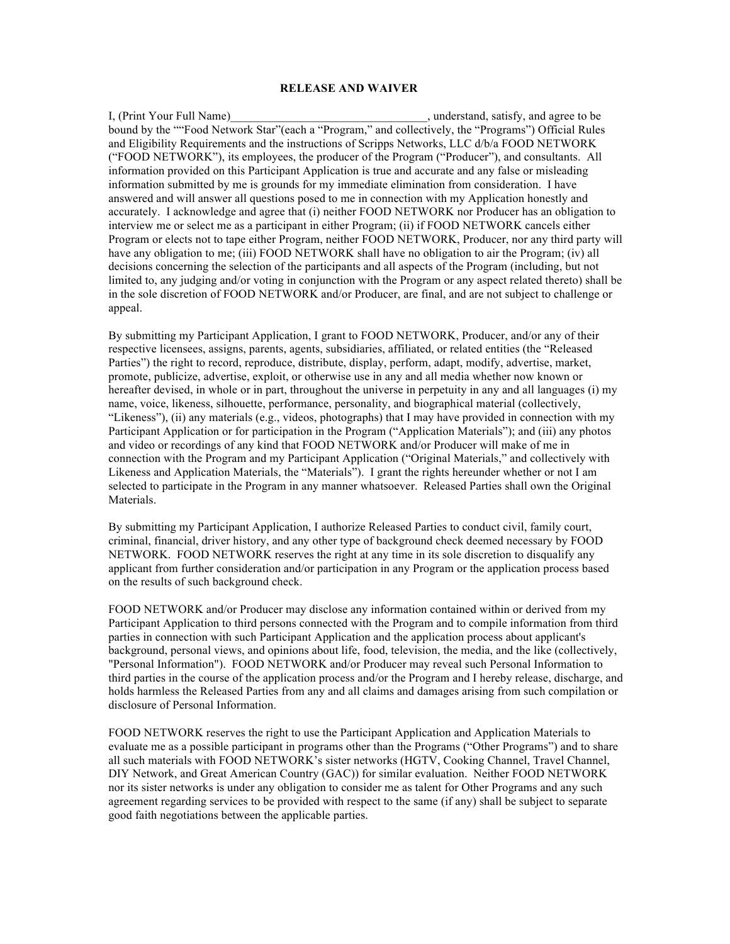## **RELEASE AND WAIVER**

I, (Print Your Full Name) and the satisfy, and agree to be satisfy, and agree to be bound by the ""Food Network Star"(each a "Program," and collectively, the "Programs") Official Rules and Eligibility Requirements and the instructions of Scripps Networks, LLC d/b/a FOOD NETWORK ("FOOD NETWORK"), its employees, the producer of the Program ("Producer"), and consultants. All information provided on this Participant Application is true and accurate and any false or misleading information submitted by me is grounds for my immediate elimination from consideration. I have answered and will answer all questions posed to me in connection with my Application honestly and accurately. I acknowledge and agree that (i) neither FOOD NETWORK nor Producer has an obligation to interview me or select me as a participant in either Program; (ii) if FOOD NETWORK cancels either Program or elects not to tape either Program, neither FOOD NETWORK, Producer, nor any third party will have any obligation to me; (iii) FOOD NETWORK shall have no obligation to air the Program; (iv) all decisions concerning the selection of the participants and all aspects of the Program (including, but not limited to, any judging and/or voting in conjunction with the Program or any aspect related thereto) shall be in the sole discretion of FOOD NETWORK and/or Producer, are final, and are not subject to challenge or appeal.

By submitting my Participant Application, I grant to FOOD NETWORK, Producer, and/or any of their respective licensees, assigns, parents, agents, subsidiaries, affiliated, or related entities (the "Released Parties") the right to record, reproduce, distribute, display, perform, adapt, modify, advertise, market, promote, publicize, advertise, exploit, or otherwise use in any and all media whether now known or hereafter devised, in whole or in part, throughout the universe in perpetuity in any and all languages (i) my name, voice, likeness, silhouette, performance, personality, and biographical material (collectively, "Likeness"), (ii) any materials (e.g., videos, photographs) that I may have provided in connection with my Participant Application or for participation in the Program ("Application Materials"); and (iii) any photos and video or recordings of any kind that FOOD NETWORK and/or Producer will make of me in connection with the Program and my Participant Application ("Original Materials," and collectively with Likeness and Application Materials, the "Materials"). I grant the rights hereunder whether or not I am selected to participate in the Program in any manner whatsoever. Released Parties shall own the Original Materials.

By submitting my Participant Application, I authorize Released Parties to conduct civil, family court, criminal, financial, driver history, and any other type of background check deemed necessary by FOOD NETWORK. FOOD NETWORK reserves the right at any time in its sole discretion to disqualify any applicant from further consideration and/or participation in any Program or the application process based on the results of such background check.

FOOD NETWORK and/or Producer may disclose any information contained within or derived from my Participant Application to third persons connected with the Program and to compile information from third parties in connection with such Participant Application and the application process about applicant's background, personal views, and opinions about life, food, television, the media, and the like (collectively, "Personal Information"). FOOD NETWORK and/or Producer may reveal such Personal Information to third parties in the course of the application process and/or the Program and I hereby release, discharge, and holds harmless the Released Parties from any and all claims and damages arising from such compilation or disclosure of Personal Information.

FOOD NETWORK reserves the right to use the Participant Application and Application Materials to evaluate me as a possible participant in programs other than the Programs ("Other Programs") and to share all such materials with FOOD NETWORK's sister networks (HGTV, Cooking Channel, Travel Channel, DIY Network, and Great American Country (GAC)) for similar evaluation. Neither FOOD NETWORK nor its sister networks is under any obligation to consider me as talent for Other Programs and any such agreement regarding services to be provided with respect to the same (if any) shall be subject to separate good faith negotiations between the applicable parties.